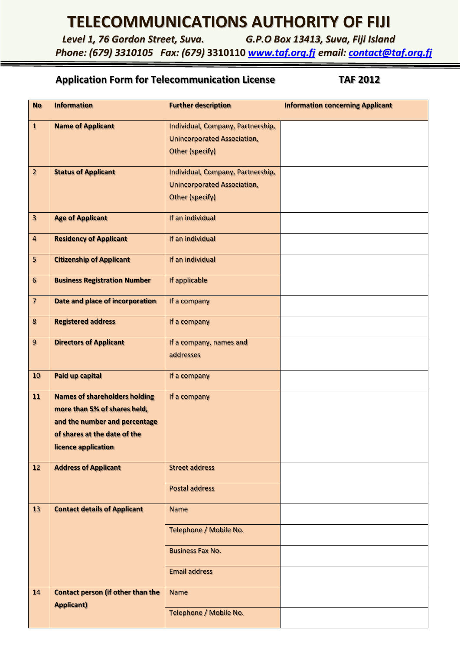# **TELECOMMUNICATIONS AUTHORITY OF FIJI**

*Level 1, 76 Gordon Street, Suva. G.P.O Box 13413, Suva, Fiji Island*

*Phone: (679) 3310105 Fax: (679)* **3310110** *[www.taf.org.fj](http://www.taf.org.fj/) email: [contact@taf.org.fj](mailto:contact@taf.org.fj)*

### **Application Form for Telecommunication License TAF 2012**

| <b>No</b>                | <b>Information</b>                                            | <b>Further description</b>         | <b>Information concerning Applicant</b> |
|--------------------------|---------------------------------------------------------------|------------------------------------|-----------------------------------------|
| $\mathbf{1}$             | <b>Name of Applicant</b>                                      | Individual, Company, Partnership,  |                                         |
|                          |                                                               | <b>Unincorporated Association,</b> |                                         |
|                          |                                                               | <b>Other (specify)</b>             |                                         |
| $\overline{2}$           | <b>Status of Applicant</b>                                    | Individual, Company, Partnership,  |                                         |
|                          |                                                               | <b>Unincorporated Association,</b> |                                         |
|                          |                                                               | <b>Other (specify)</b>             |                                         |
| $\overline{\mathbf{3}}$  | <b>Age of Applicant</b>                                       | If an individual                   |                                         |
| $\overline{\mathbf{4}}$  | <b>Residency of Applicant</b>                                 | If an individual                   |                                         |
| 5                        | <b>Citizenship of Applicant</b>                               | If an individual                   |                                         |
| $6\phantom{1}6$          | <b>Business Registration Number</b>                           | If applicable                      |                                         |
| $\overline{\mathcal{L}}$ | Date and place of incorporation                               | If a company                       |                                         |
| $\bf 8$                  | <b>Registered address</b>                                     | If a company                       |                                         |
| $\overline{9}$           | <b>Directors of Applicant</b>                                 | If a company, names and            |                                         |
|                          |                                                               | addresses                          |                                         |
| 10                       | <b>Paid up capital</b>                                        | If a company                       |                                         |
| 11                       | <b>Names of shareholders holding</b>                          | If a company                       |                                         |
|                          | more than 5% of shares held,                                  |                                    |                                         |
|                          | and the number and percentage                                 |                                    |                                         |
|                          | of shares at the date of the                                  |                                    |                                         |
|                          | licence application                                           |                                    |                                         |
| 12                       | <b>Address of Applicant</b>                                   | <b>Street address</b>              |                                         |
|                          |                                                               | <b>Postal address</b>              |                                         |
| 13                       | <b>Contact details of Applicant</b>                           | <b>Name</b>                        |                                         |
|                          |                                                               | Telephone / Mobile No.             |                                         |
|                          |                                                               | <b>Business Fax No.</b>            |                                         |
|                          |                                                               | <b>Email address</b>               |                                         |
| 14                       | <b>Contact person (if other than the</b><br><b>Applicant)</b> | <b>Name</b>                        |                                         |
|                          |                                                               | Telephone / Mobile No.             |                                         |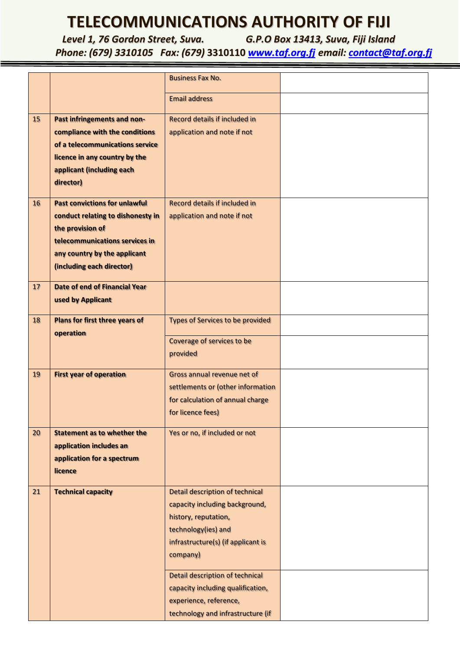# **TELECOMMUNICATIONS AUTHORITY OF FIJI**

*Level 1, 76 Gordon Street, Suva. G.P.O Box 13413, Suva, Fiji Island Phone: (679) 3310105 Fax: (679)* **3310110** *[www.taf.org.fj](http://www.taf.org.fj/) email: [contact@taf.org.fj](mailto:contact@taf.org.fj)*

|    |                                      | <b>Business Fax No.</b>            |  |
|----|--------------------------------------|------------------------------------|--|
|    |                                      | <b>Email address</b>               |  |
| 15 | Past infringements and non-          | Record details if included in      |  |
|    | compliance with the conditions       | application and note if not        |  |
|    | of a telecommunications service      |                                    |  |
|    | licence in any country by the        |                                    |  |
|    | applicant (including each            |                                    |  |
|    | director)                            |                                    |  |
| 16 | <b>Past convictions for unlawful</b> | Record details if included in      |  |
|    | conduct relating to dishonesty in    | application and note if not        |  |
|    | the provision of                     |                                    |  |
|    | telecommunications services in       |                                    |  |
|    | any country by the applicant         |                                    |  |
|    | (including each director)            |                                    |  |
|    |                                      |                                    |  |
| 17 | <b>Date of end of Financial Year</b> |                                    |  |
|    | used by Applicant                    |                                    |  |
| 18 | Plans for first three years of       | Types of Services to be provided   |  |
|    | operation                            |                                    |  |
|    |                                      | Coverage of services to be         |  |
|    |                                      | provided                           |  |
| 19 | <b>First year of operation</b>       | Gross annual revenue net of        |  |
|    |                                      | settlements or (other information  |  |
|    |                                      | for calculation of annual charge   |  |
|    |                                      | for licence fees)                  |  |
| 20 | <b>Statement as to whether the</b>   | Yes or no, if included or not      |  |
|    | application includes an              |                                    |  |
|    | application for a spectrum           |                                    |  |
|    | licence                              |                                    |  |
|    |                                      |                                    |  |
| 21 | <b>Technical capacity</b>            | Detail description of technical    |  |
|    |                                      | capacity including background,     |  |
|    |                                      | history, reputation,               |  |
|    |                                      | technology(ies) and                |  |
|    |                                      | infrastructure(s) (if applicant is |  |
|    |                                      | company)                           |  |
|    |                                      | Detail description of technical    |  |
|    |                                      | capacity including qualification,  |  |
|    |                                      | experience, reference,             |  |
|    |                                      | technology and infrastructure (if  |  |